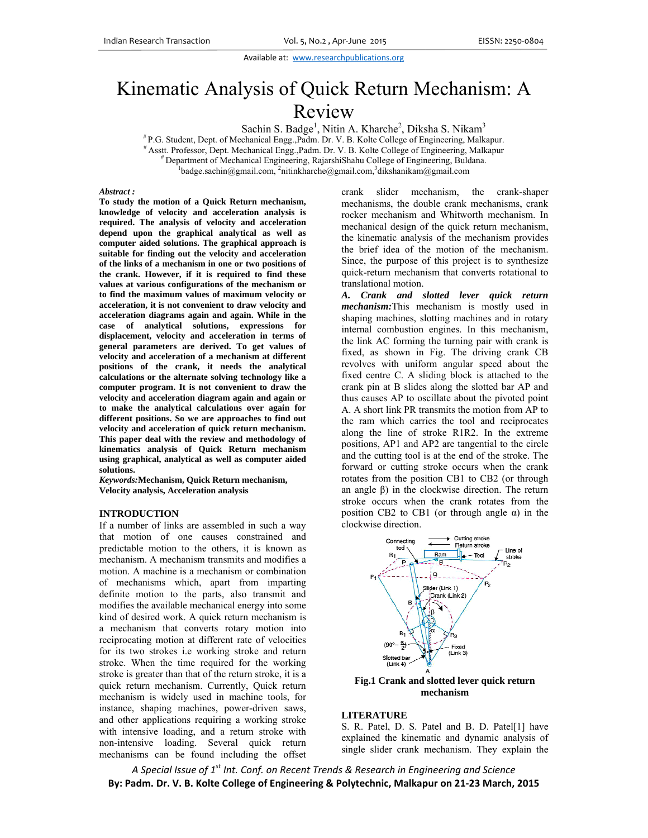Available at: www.researchpublications.org

# Kinematic Analysis of Quick Return Mechanism: A Review

Sachin S. Badge<sup>1</sup>, Nitin A. Kharche<sup>2</sup>, Diksha S. Nikam<sup>3</sup>

Sachin S. Badge<sup>1</sup>, Nitin A. Kharche<sup>2</sup>, Diksha S. Nikam<sup>3</sup><br>Dept. of Mechanical Engg.,Padm. Dr. V. B. Kolte College of Engineering, Malkapur.

 $\frac{H}{t}$  P.G. Student, D<br> $\frac{H}{t}$  Asstt. Professor<br> $\frac{H}{t}$  Departmen or, Dept. Mechanical Engg., Padm. Dr. V. B. Kolte College of Engineering, Malkapur

ent of Mechanical Engineering, RajarshiShahu College of Engineering, Buldana.

badge.sachin@gmail.com, 2nitinkharche@gmail.com, 3dikshanikam@gmail.com

#### *Abstract :*

To study the motion of a Quick Return mechanism, knowledge of velocity and acceleration analysis is required. The analysis of velocity and acceleration depend upon the graphical analytical as well as **computer a aided solutions. . The graphical l approach is**  suitable for finding out the velocity and acceleration of the links of a mechanism in one or two positions of **the crank. However, if i it is required t to find these**  values at various configurations of the mechanism or to find the maximum values of maximum velocity or acceleration, it is not convenient to draw velocity and acceleration diagrams again and again. While in the case of analytical solutions, expressions for displacement, velocity and acceleration in terms of **general pa arameters are derived. To g get values of**  velocity and acceleration of a mechanism at different positions of the crank, it needs the analytical calculations or the alternate solving technology like a computer program. It is not convenient to draw the velocity and acceleration diagram again and again or to make the analytical calculations over again for different positions. So we are approaches to find out velocity and acceleration of quick return mechanism. This paper deal with the review and methodology of kinematics analysis of Quick Return mechanism using graphical, analytical as well as computer aided **solutions.** 

*Keywords:***M Mechanism, Qu uick Return mec chanism, Velocity an nalysis, Accelera ation analysis**

### **INTRODUCTION**

If a number of links are assembled in such a way that motion of one causes constrained and predictable motion to the others, it is known as mechanism. A mechanism transmits and modifies a motion. A machine is a m mechanism or combination of mechanisms which, apart from imparting definite motion to the parts, also transmit and modifies the available mechanical energy into some kind of des sired work. A quick return m mechanism is a mechanism that converts rotary motion into reciprocating motion at different rate of velocities for its two strokes i.e working stroke and return stroke. When the time required for the working stroke is greater than that of the return stroke, it is a quick return mechanism. Currently, Quick return mechanism is widely used in machine tools, for instance, shaping machines, power-driven saws, and other applications requiring a working stroke with intensive loading, and a return stroke with non-intensive loading. Several quick return mechanisms can be found including the offset crank mechanisms, the double crank mechanisms, crank rocker mechanism and Whitworth mechanism. In mechanical design of the quick return mechanism, the kinematic analysis of the mechanism provides the brief idea of the motion of the mechanism. Since, the purpose of this project is to synthesize quick-return mechanism that converts rotational to translational motion. slider mechanism, the crank-shaper

A. Crank and slotted lever quick return *mechanism*: This mechanism is mostly used in shaping machines, slotting machines and in rotary internal combustion engines. In this mechanism, the link AC forming the turning pair with crank is fixed, as shown in Fig. The driving crank CB revolves with uniform angular speed about the fixed centre C. A sliding block is attached to the crank pin at B slides along the slotted bar AP and thus causes AP to oscillate about the pivoted point A. A short link PR transmits the motion from AP to the ram which carries the tool and reciprocates along the line of stroke R1R2. In the extreme positions, AP1 and AP2 are tangential to the circle and the cutting tool is at the end of the stroke. The forward or cutting stroke occurs when the crank rotates from the position CB1 to CB2 (or through an angle  $\beta$ ) in the clockwise direction. The return stroke occurs when the crank rotates from the position CB2 to CB1 (or through angle  $α$ ) in the clockw wise direction.



## **Fig. .1 Crank and slotted lever q quick return m mechanism**

### **LITER RATURE**

S. R. Patel, D. S. Patel and B. D. Patel[1] have explained the kinematic and dynamic analysis of single slider crank mechanism. They explain the

A Special Issue of 1 $^{\rm st}$  Int. Conf. on Recent Trends & Research in Engineering and Science By: Padm. Dr. V. B. Kolte College of Engineering & Polytechnic, Malkapur on 21-23 March, 2015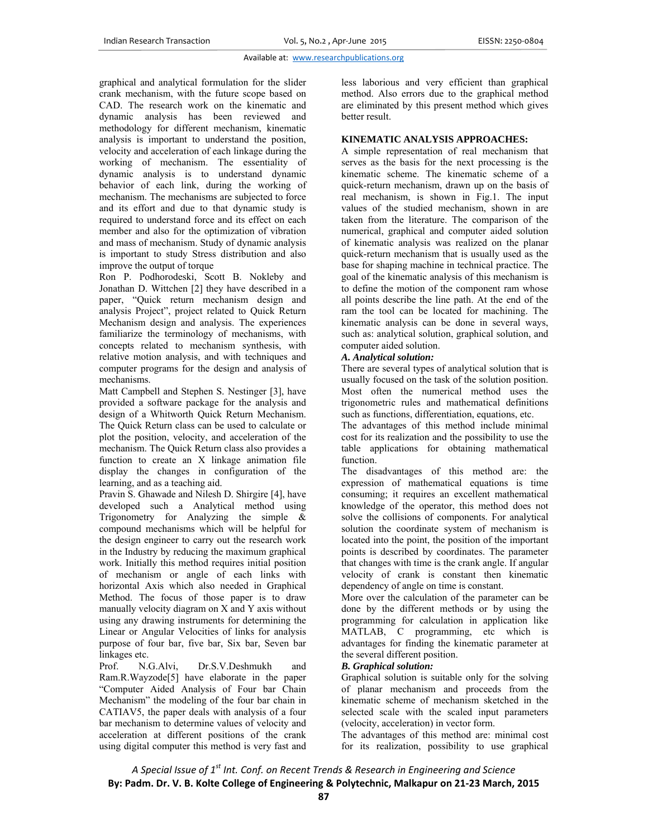### Available at: www.researchpublications.org

graphical and analytical formulation for the slider crank mechanism, with the future scope based on CAD. The research work on the kinematic and dynamic analysis has been reviewed and methodology for different mechanism, kinematic analysis is important to understand the position, velocity and acceleration of each linkage during the working of mechanism. The essentiality of dynamic analysis is to understand dynamic behavior of each link, during the working of mechanism. The mechanisms are subjected to force and its effort and due to that dynamic study is required to understand force and its effect on each member and also for the optimization of vibration and mass of mechanism. Study of dynamic analysis is important to study Stress distribution and also improve the output of torque

Ron P. Podhorodeski, Scott B. Nokleby and Jonathan D. Wittchen [2] they have described in a paper, "Quick return mechanism design and analysis Project", project related to Quick Return Mechanism design and analysis. The experiences familiarize the terminology of mechanisms, with concepts related to mechanism synthesis, with relative motion analysis, and with techniques and computer programs for the design and analysis of mechanisms.

Matt Campbell and Stephen S. Nestinger [3], have provided a software package for the analysis and design of a Whitworth Quick Return Mechanism. The Quick Return class can be used to calculate or plot the position, velocity, and acceleration of the mechanism. The Quick Return class also provides a function to create an X linkage animation file display the changes in configuration of the learning, and as a teaching aid.

Pravin S. Ghawade and Nilesh D. Shirgire [4], have developed such a Analytical method using Trigonometry for Analyzing the simple  $\&$ compound mechanisms which will be helpful for the design engineer to carry out the research work in the Industry by reducing the maximum graphical work. Initially this method requires initial position of mechanism or angle of each links with horizontal Axis which also needed in Graphical Method. The focus of those paper is to draw manually velocity diagram on X and Y axis without using any drawing instruments for determining the Linear or Angular Velocities of links for analysis purpose of four bar, five bar, Six bar, Seven bar linkages etc.

Prof. N.G.Alvi, Dr.S.V.Deshmukh and Ram.R.Wayzode[5] have elaborate in the paper "Computer Aided Analysis of Four bar Chain Mechanism" the modeling of the four bar chain in CATIAV5, the paper deals with analysis of a four bar mechanism to determine values of velocity and acceleration at different positions of the crank using digital computer this method is very fast and less laborious and very efficient than graphical method. Also errors due to the graphical method are eliminated by this present method which gives better result.

## **KINEMATIC ANALYSIS APPROACHES:**

A simple representation of real mechanism that serves as the basis for the next processing is the kinematic scheme. The kinematic scheme of a quick-return mechanism, drawn up on the basis of real mechanism, is shown in Fig.1. The input values of the studied mechanism, shown in are taken from the literature. The comparison of the numerical, graphical and computer aided solution of kinematic analysis was realized on the planar quick-return mechanism that is usually used as the base for shaping machine in technical practice. The goal of the kinematic analysis of this mechanism is to define the motion of the component ram whose all points describe the line path. At the end of the ram the tool can be located for machining. The kinematic analysis can be done in several ways, such as: analytical solution, graphical solution, and computer aided solution.

## *A. Analytical solution:*

There are several types of analytical solution that is usually focused on the task of the solution position. Most often the numerical method uses the trigonometric rules and mathematical definitions such as functions, differentiation, equations, etc.

The advantages of this method include minimal cost for its realization and the possibility to use the table applications for obtaining mathematical function.

The disadvantages of this method are: the expression of mathematical equations is time consuming; it requires an excellent mathematical knowledge of the operator, this method does not solve the collisions of components. For analytical solution the coordinate system of mechanism is located into the point, the position of the important points is described by coordinates. The parameter that changes with time is the crank angle. If angular velocity of crank is constant then kinematic dependency of angle on time is constant.

More over the calculation of the parameter can be done by the different methods or by using the programming for calculation in application like MATLAB, C programming, etc which is advantages for finding the kinematic parameter at the several different position.

## *B. Graphical solution:*

Graphical solution is suitable only for the solving of planar mechanism and proceeds from the kinematic scheme of mechanism sketched in the selected scale with the scaled input parameters (velocity, acceleration) in vector form.

The advantages of this method are: minimal cost for its realization, possibility to use graphical

*A Special Issue of 1st Int. Conf. on Recent Trends & Research in Engineering and Science* **By: Padm. Dr. V. B. Kolte College of Engineering & Polytechnic, Malkapur on 21‐23 March, 2015**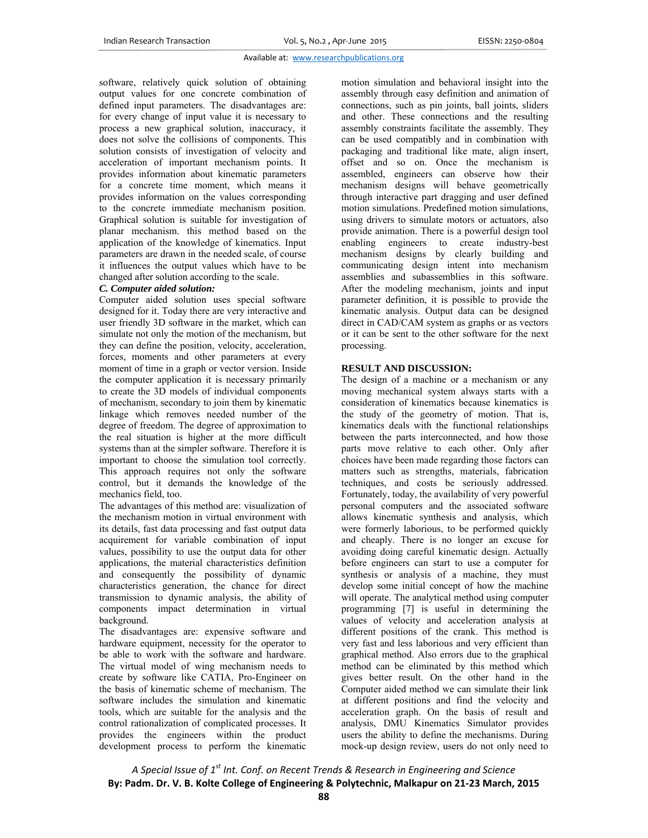## Available at: www.researchpublications.org

software, relatively quick solution of obtaining output values for one concrete combination of defined input parameters. The disadvantages are: for every change of input value it is necessary to process a new graphical solution, inaccuracy, it does not solve the collisions of components. This solution consists of investigation of velocity and acceleration of important mechanism points. It provides information about kinematic parameters for a concrete time moment, which means it provides information on the values corresponding to the concrete immediate mechanism position. Graphical solution is suitable for investigation of planar mechanism. this method based on the application of the knowledge of kinematics. Input parameters are drawn in the needed scale, of course it influences the output values which have to be changed after solution according to the scale.

## *C. Computer aided solution:*

Computer aided solution uses special software designed for it. Today there are very interactive and user friendly 3D software in the market, which can simulate not only the motion of the mechanism, but they can define the position, velocity, acceleration, forces, moments and other parameters at every moment of time in a graph or vector version. Inside the computer application it is necessary primarily to create the 3D models of individual components of mechanism, secondary to join them by kinematic linkage which removes needed number of the degree of freedom. The degree of approximation to the real situation is higher at the more difficult systems than at the simpler software. Therefore it is important to choose the simulation tool correctly. This approach requires not only the software control, but it demands the knowledge of the mechanics field, too.

The advantages of this method are: visualization of the mechanism motion in virtual environment with its details, fast data processing and fast output data acquirement for variable combination of input values, possibility to use the output data for other applications, the material characteristics definition and consequently the possibility of dynamic characteristics generation, the chance for direct transmission to dynamic analysis, the ability of components impact determination in virtual background.

The disadvantages are: expensive software and hardware equipment, necessity for the operator to be able to work with the software and hardware. The virtual model of wing mechanism needs to create by software like CATIA, Pro-Engineer on the basis of kinematic scheme of mechanism. The software includes the simulation and kinematic tools, which are suitable for the analysis and the control rationalization of complicated processes. It provides the engineers within the product development process to perform the kinematic motion simulation and behavioral insight into the assembly through easy definition and animation of connections, such as pin joints, ball joints, sliders and other. These connections and the resulting assembly constraints facilitate the assembly. They can be used compatibly and in combination with packaging and traditional like mate, align insert, offset and so on. Once the mechanism is assembled, engineers can observe how their mechanism designs will behave geometrically through interactive part dragging and user defined motion simulations. Predefined motion simulations, using drivers to simulate motors or actuators, also provide animation. There is a powerful design tool enabling engineers to create industry-best mechanism designs by clearly building and communicating design intent into mechanism assemblies and subassemblies in this software. After the modeling mechanism, joints and input parameter definition, it is possible to provide the kinematic analysis. Output data can be designed direct in CAD/CAM system as graphs or as vectors or it can be sent to the other software for the next processing.

# **RESULT AND DISCUSSION:**

The design of a machine or a mechanism or any moving mechanical system always starts with a consideration of kinematics because kinematics is the study of the geometry of motion. That is, kinematics deals with the functional relationships between the parts interconnected, and how those parts move relative to each other. Only after choices have been made regarding those factors can matters such as strengths, materials, fabrication techniques, and costs be seriously addressed. Fortunately, today, the availability of very powerful personal computers and the associated software allows kinematic synthesis and analysis, which were formerly laborious, to be performed quickly and cheaply. There is no longer an excuse for avoiding doing careful kinematic design. Actually before engineers can start to use a computer for synthesis or analysis of a machine, they must develop some initial concept of how the machine will operate. The analytical method using computer programming [7] is useful in determining the values of velocity and acceleration analysis at different positions of the crank. This method is very fast and less laborious and very efficient than graphical method. Also errors due to the graphical method can be eliminated by this method which gives better result. On the other hand in the Computer aided method we can simulate their link at different positions and find the velocity and acceleration graph. On the basis of result and analysis, DMU Kinematics Simulator provides users the ability to define the mechanisms. During mock-up design review, users do not only need to

*A Special Issue of 1st Int. Conf. on Recent Trends & Research in Engineering and Science* **By: Padm. Dr. V. B. Kolte College of Engineering & Polytechnic, Malkapur on 21‐23 March, 2015**